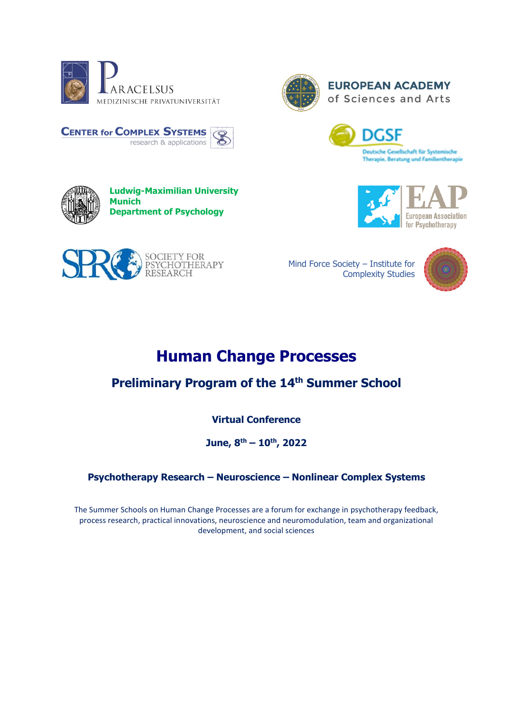

**CENTER for COMPLEX SYSTEMS** 



**EUROPEAN ACADEMY** of Sciences and Arts





Mind Force Society – Institute for Complexity Studies



# **Human Change Processes**

## **Preliminary Program of the 14 th Summer School**

**Virtual Conference**

**June, 8th – 10th, 2022**

### **Psychotherapy Research – Neuroscience – Nonlinear Complex Systems**

The Summer Schools on Human Change Processes are a forum for exchange in psychotherapy feedback, process research, practical innovations, neuroscience and neuromodulation, team and organizational development, and social sciences



**Department of Psychology**

**Ludwig-Maximilian University** 

research & applications



**Munich**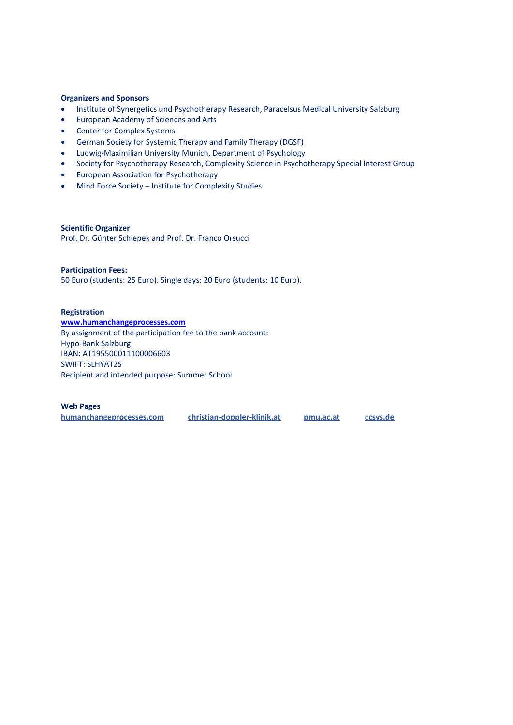#### **Organizers and Sponsors**

- Institute of Synergetics und Psychotherapy Research, Paracelsus Medical University Salzburg
- European Academy of Sciences and Arts
- Center for Complex Systems
- German Society for Systemic Therapy and Family Therapy (DGSF)
- Ludwig-Maximilian University Munich, Department of Psychology
- Society for Psychotherapy Research, Complexity Science in Psychotherapy Special Interest Group
- European Association for Psychotherapy
- Mind Force Society Institute for Complexity Studies

**Scientific Organizer** Prof. Dr. Günter Schiepek and Prof. Dr. Franco Orsucci

#### **Participation Fees:**

50 Euro (students: 25 Euro). Single days: 20 Euro (students: 10 Euro).

#### **Registration**

**[www.humanchangeprocesses.com](http://www.humanchangeprocesses.com/)** By assignment of the participation fee to the bank account: Hypo-Bank Salzburg IBAN: AT195500011100006603 SWIFT: SLHYAT2S Recipient and intended purpose: Summer School

#### **Web Pages**

**humanchangeprocesses.com [christian-doppler-klinik.at](http://www.christian-doppler-klinik.at/) pmu.ac.at ccsys.de**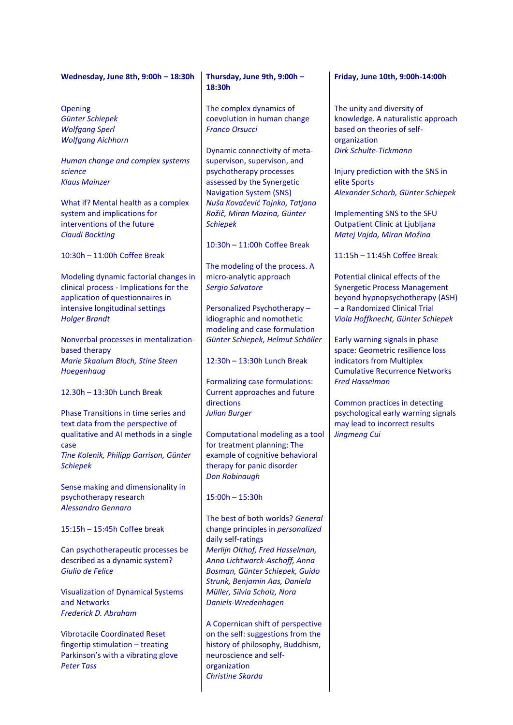#### **Wednesday, June 8th, 9:00h – 18:30h**

Opening *Günter Schiepek Wolfgang Sperl Wolfgang Aichhorn*

*Human change and complex systems science Klaus Mainzer*

What if? Mental health as a complex system and implications for interventions of the future *Claudi Bockting*

10:30h – 11:00h Coffee Break

Modeling dynamic factorial changes in clinical process - Implications for the application of questionnaires in intensive longitudinal settings *Holger Brandt*

Nonverbal processes in mentalizationbased therapy *Marie Skaalum Bloch, Stine Steen Hoegenhaug*

12.30h – 13:30h Lunch Break

Phase Transitions in time series and text data from the perspective of qualitative and AI methods in a single case *Tine Kolenik, Philipp Garrison, Günter Schiepek*

Sense making and dimensionality in psychotherapy research *Alessandro Gennaro*

15:15h – 15:45h Coffee break

Can psychotherapeutic processes be described as a dynamic system? *Giulio de Felice*

Visualization of Dynamical Systems and Networks *Frederick D. Abraham*

Vibrotacile Coordinated Reset fingertip stimulation – treating Parkinson's with a vibrating glove *Peter Tass*

#### **Thursday, June 9th, 9:00h – 18:30h**

The complex dynamics of coevolution in human change *Franco Orsucci*

Dynamic connectivity of metasupervison, supervison, and psychotherapy processes assessed by the Synergetic Navigation System (SNS) *Nuša Kovačević Tojnko, Tatjana Rožič, Miran Mozina, Günter Schiepek*

10:30h – 11:00h Coffee Break

The modeling of the process. A micro-analytic approach *Sergio Salvatore*

Personalized Psychotherapy – idiographic and nomothetic modeling and case formulation *Günter Schiepek, Helmut Schöller*

12:30h – 13:30h Lunch Break

Formalizing case formulations: Current approaches and future directions *Julian Burger*

Computational modeling as a tool for treatment planning: The example of cognitive behavioral therapy for panic disorder *Don Robinaugh*

15:00h – 15:30h

The best of both worlds? *General* change principles in *personalized* daily self-ratings *Merlijn Olthof, Fred Hasselman, Anna Lichtwarck-Aschoff, Anna Bosman, Günter Schiepek, Guido Strunk, Benjamin Aas, Daniela Müller, Silvia Scholz, Nora Daniels-Wredenhagen*

A Copernican shift of perspective on the self: suggestions from the history of philosophy, Buddhism, neuroscience and selforganization *Christine Skarda*

#### **Friday, June 10th, 9:00h-14:00h**

The unity and diversity of knowledge. A naturalistic approach based on theories of selforganization *Dirk Schulte-Tickmann*

Injury prediction with the SNS in elite Sports *Alexander Schorb, Günter Schiepek*

Implementing SNS to the SFU Outpatient Clinic at Ljubljana *Matej Vajda, Miran Možina*

11:15h – 11:45h Coffee Break

Potential clinical effects of the Synergetic Process Management beyond hypnopsychotherapy (ASH) – a Randomized Clinical Trial *Viola Hoffknecht, Günter Schiepek*

Early warning signals in phase space: Geometric resilience loss indicators from Multiplex Cumulative Recurrence Networks *Fred Hasselman*

Common practices in detecting psychological early warning signals may lead to incorrect results *Jingmeng Cui*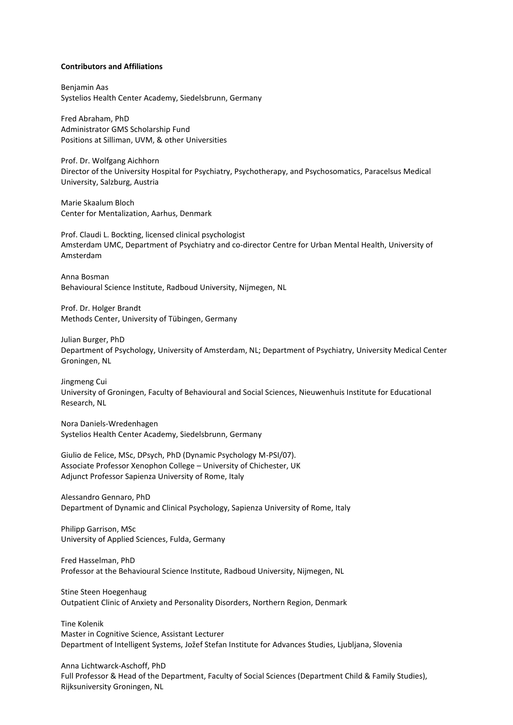#### **Contributors and Affiliations**

Benjamin Aas Systelios Health Center Academy, Siedelsbrunn, Germany

Fred Abraham, PhD Administrator GMS Scholarship Fund Positions at Silliman, UVM, & other Universities

Prof. Dr. Wolfgang Aichhorn Director of the University Hospital for Psychiatry, Psychotherapy, and Psychosomatics, Paracelsus Medical University, Salzburg, Austria

Marie Skaalum Bloch Center for Mentalization, Aarhus, Denmark

Prof. Claudi L. Bockting, licensed clinical psychologist Amsterdam UMC, Department of Psychiatry and co-director Centre for Urban Mental Health, University of Amsterdam

Anna Bosman Behavioural Science Institute, Radboud University, Nijmegen, NL

Prof. Dr. Holger Brandt Methods Center, University of Tübingen, Germany

Julian Burger, PhD Department of Psychology, University of Amsterdam, NL; Department of Psychiatry, University Medical Center Groningen, NL

Jingmeng Cui University of Groningen, Faculty of Behavioural and Social Sciences, Nieuwenhuis Institute for Educational Research, NL

Nora Daniels-Wredenhagen Systelios Health Center Academy, Siedelsbrunn, Germany

Giulio de Felice, MSc, DPsych, PhD (Dynamic Psychology M-PSI/07). Associate Professor Xenophon College – University of Chichester, UK Adjunct Professor Sapienza University of Rome, Italy

Alessandro Gennaro, PhD Department of Dynamic and Clinical Psychology, Sapienza University of Rome, Italy

Philipp Garrison, MSc University of Applied Sciences, Fulda, Germany

Fred Hasselman, PhD Professor at the Behavioural Science Institute, Radboud University, Nijmegen, NL

Stine Steen Hoegenhaug Outpatient Clinic of Anxiety and Personality Disorders, Northern Region, Denmark

Tine Kolenik Master in Cognitive Science, Assistant Lecturer Department of Intelligent Systems, Jožef Stefan Institute for Advances Studies, Ljubljana, Slovenia

Anna Lichtwarck-Aschoff, PhD Full Professor & Head of the Department, Faculty of Social Sciences (Department Child & Family Studies), Rijksuniversity Groningen, NL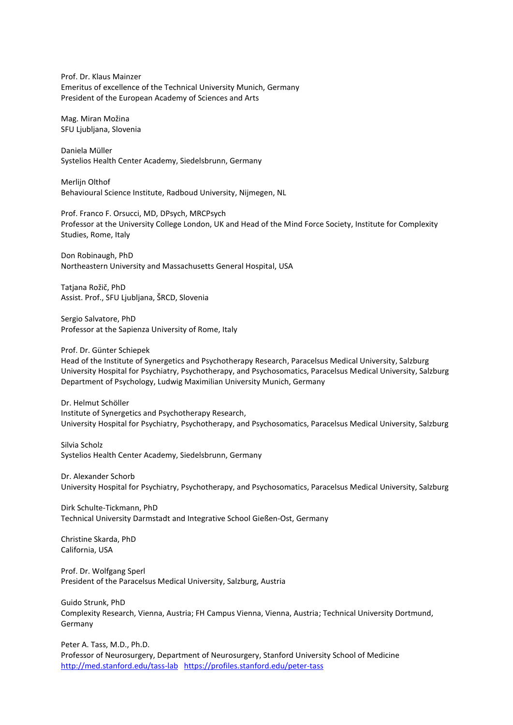Prof. Dr. Klaus Mainzer Emeritus of excellence of the Technical University Munich, Germany President of the European Academy of Sciences and Arts

Mag. Miran Možina SFU Ljubljana, Slovenia

Daniela Müller Systelios Health Center Academy, Siedelsbrunn, Germany

Merlijn Olthof Behavioural Science Institute, Radboud University, Nijmegen, NL

Prof. Franco F. Orsucci, MD, DPsych, MRCPsych Professor at the University College London, UK and Head of the Mind Force Society, Institute for Complexity Studies, Rome, Italy

Don Robinaugh, PhD Northeastern University and Massachusetts General Hospital, USA

Tatjana Rožič, PhD Assist. Prof., SFU Ljubljana, ŠRCD, Slovenia

Sergio Salvatore, PhD Professor at the Sapienza University of Rome, Italy

Prof. Dr. Günter Schiepek

Head of the Institute of Synergetics and Psychotherapy Research, Paracelsus Medical University, Salzburg University Hospital for Psychiatry, Psychotherapy, and Psychosomatics, Paracelsus Medical University, Salzburg Department of Psychology, Ludwig Maximilian University Munich, Germany

Dr. Helmut Schöller Institute of Synergetics and Psychotherapy Research, University Hospital for Psychiatry, Psychotherapy, and Psychosomatics, Paracelsus Medical University, Salzburg

Silvia Scholz Systelios Health Center Academy, Siedelsbrunn, Germany

Dr. Alexander Schorb University Hospital for Psychiatry, Psychotherapy, and Psychosomatics, Paracelsus Medical University, Salzburg

Dirk Schulte-Tickmann, PhD Technical University Darmstadt and Integrative School Gießen-Ost, Germany

Christine Skarda, PhD California, USA

Prof. Dr. Wolfgang Sperl President of the Paracelsus Medical University, Salzburg, Austria

Guido Strunk, PhD Complexity Research, Vienna, Austria; FH Campus Vienna, Vienna, Austria; Technical University Dortmund, Germany

Peter A. Tass, M.D., Ph.D. Professor of Neurosurgery, Department of Neurosurgery, Stanford University School of Medicine <http://med.stanford.edu/tass-lab><https://profiles.stanford.edu/peter-tass>